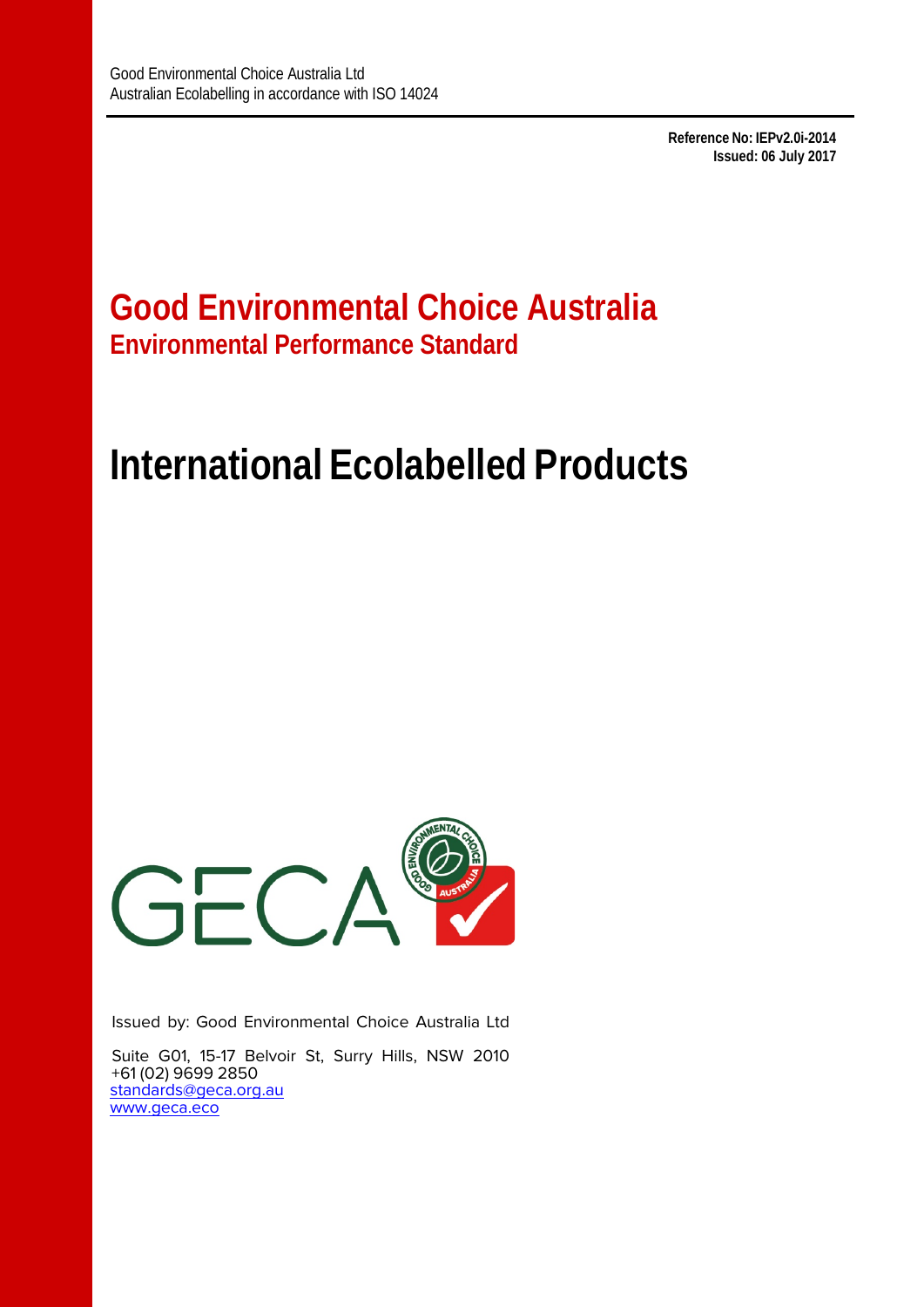**Reference No: IEPv2.0i-2014 Issued: 06 July 2017**

## **Good Environmental Choice Australia Environmental Performance Standard**

# **International Ecolabelled Products**



Issued by: Good Environmental Choice Australia Ltd

Suite G01, 15-17 Belvoir St, Surry Hills, NSW 2010 +61 (02) 9699 2850 [standards@geca.org.au](mailto:standards@geca.org.au) www.geca.eco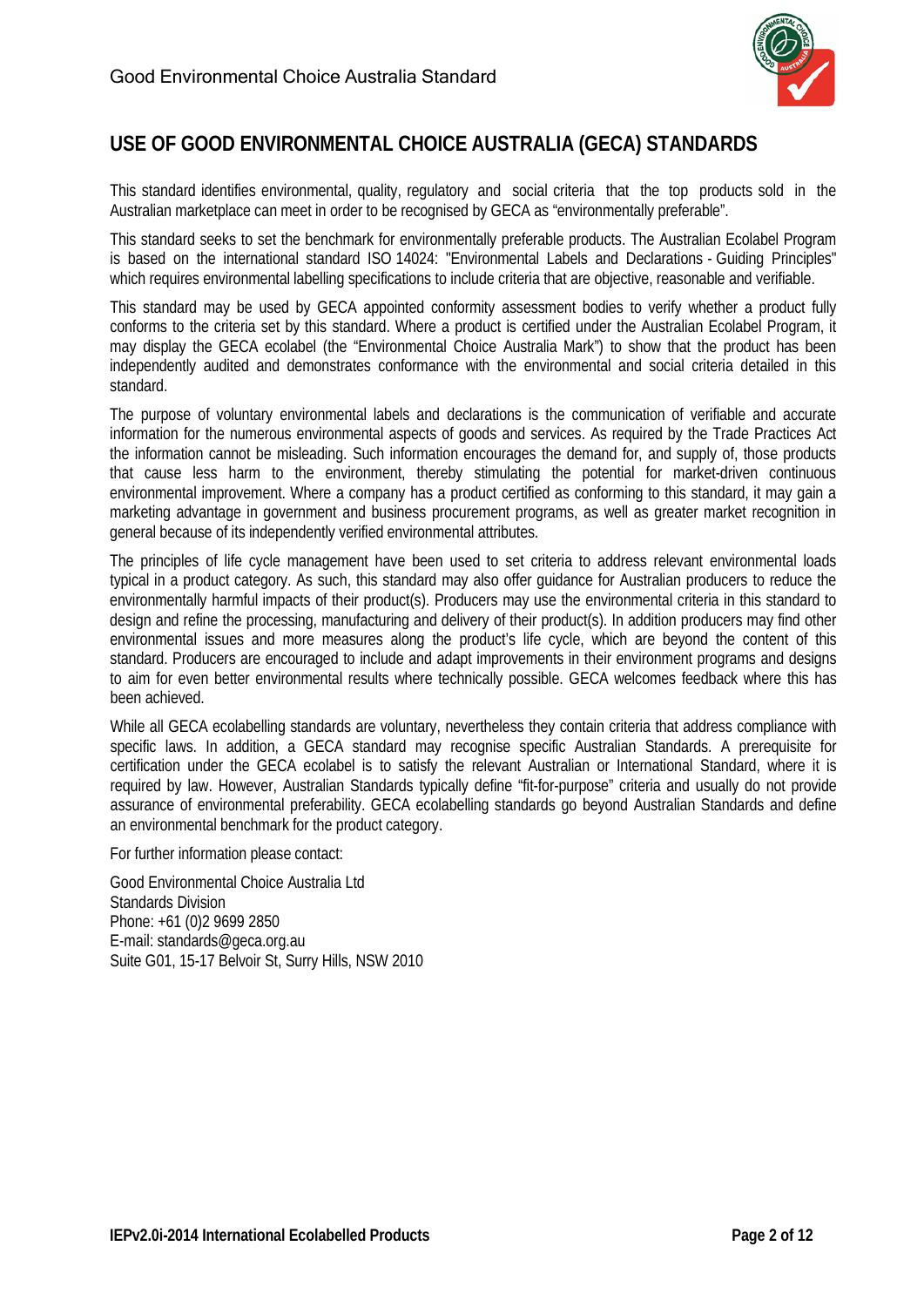

## **USE OF GOOD ENVIRONMENTAL CHOICE AUSTRALIA (GECA) STANDARDS**

This standard identifies environmental, quality, regulatory and social criteria that the top products sold in the Australian marketplace can meet in order to be recognised by GECA as "environmentally preferable".

This standard seeks to set the benchmark for environmentally preferable products. The Australian Ecolabel Program is based on the international standard ISO 14024: "Environmental Labels and Declarations - Guiding Principles" which requires environmental labelling specifications to include criteria that are objective, reasonable and verifiable.

This standard may be used by GECA appointed conformity assessment bodies to verify whether a product fully conforms to the criteria set by this standard. Where a product is certified under the Australian Ecolabel Program, it may display the GECA ecolabel (the "Environmental Choice Australia Mark") to show that the product has been independently audited and demonstrates conformance with the environmental and social criteria detailed in this standard.

The purpose of voluntary environmental labels and declarations is the communication of verifiable and accurate information for the numerous environmental aspects of goods and services. As required by the Trade Practices Act the information cannot be misleading. Such information encourages the demand for, and supply of, those products that cause less harm to the environment, thereby stimulating the potential for market-driven continuous environmental improvement. Where a company has a product certified as conforming to this standard, it may gain a marketing advantage in government and business procurement programs, as well as greater market recognition in general because of its independently verified environmental attributes.

The principles of life cycle management have been used to set criteria to address relevant environmental loads typical in a product category. As such, this standard may also offer guidance for Australian producers to reduce the environmentally harmful impacts of their product(s). Producers may use the environmental criteria in this standard to design and refine the processing, manufacturing and delivery of their product(s). In addition producers may find other environmental issues and more measures along the product's life cycle, which are beyond the content of this standard. Producers are encouraged to include and adapt improvements in their environment programs and designs to aim for even better environmental results where technically possible. GECA welcomes feedback where this has been achieved.

While all GECA ecolabelling standards are voluntary, nevertheless they contain criteria that address compliance with specific laws. In addition, a GECA standard may recognise specific Australian Standards. A prerequisite for certification under the GECA ecolabel is to satisfy the relevant Australian or International Standard, where it is required by law. However, Australian Standards typically define "fit-for-purpose" criteria and usually do not provide assurance of environmental preferability. GECA ecolabelling standards go beyond Australian Standards and define an environmental benchmark for the product category.

For further information please contact:

Good Environmental Choice Australia Ltd Standards Division Phone: +61 (0)2 9699 2850 E-mail: [standards@geca.org.au](mailto:standards@geca.org.au) Suite G01, 15-17 Belvoir St, Surry Hills, NSW 2010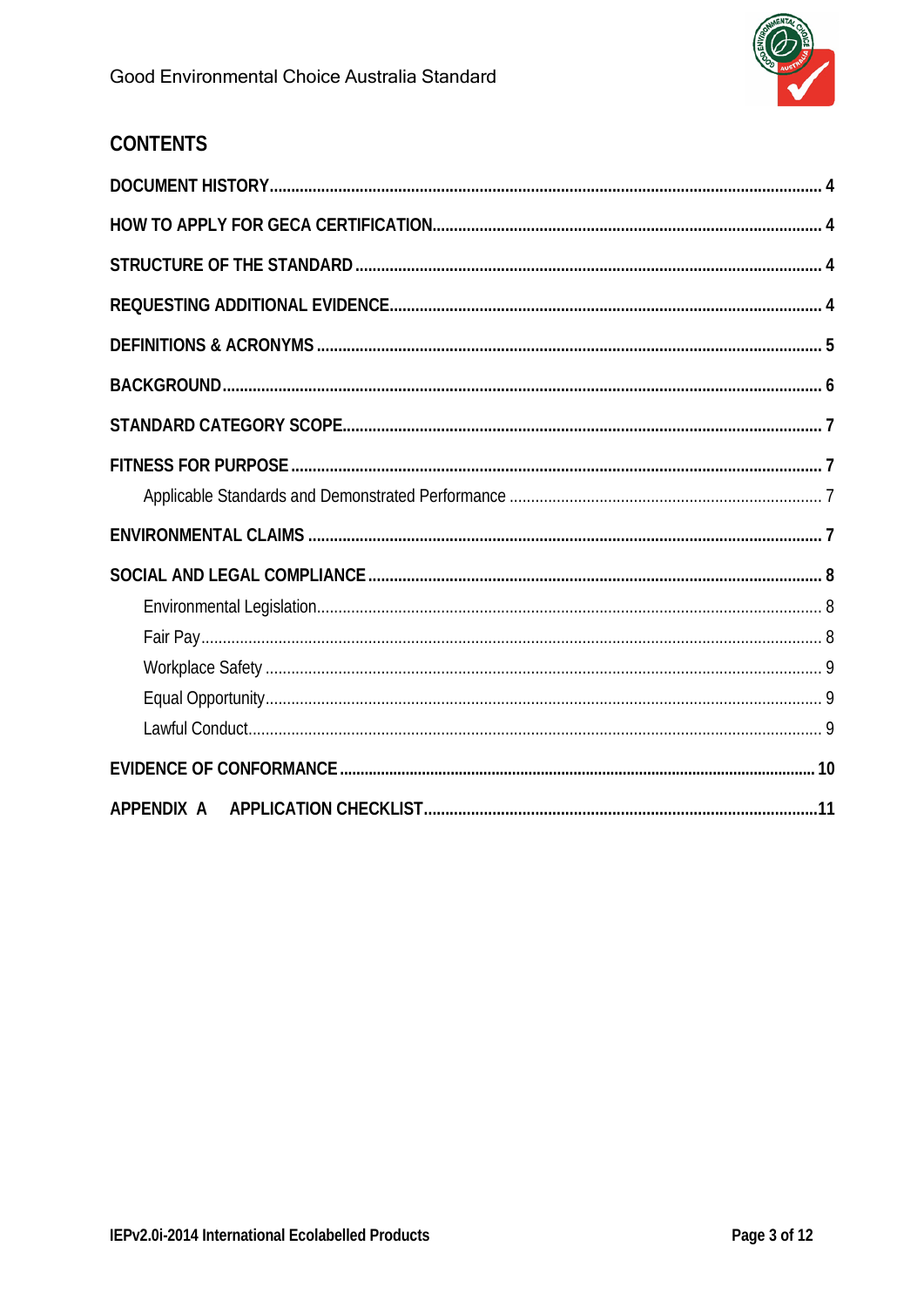## **CONTENTS**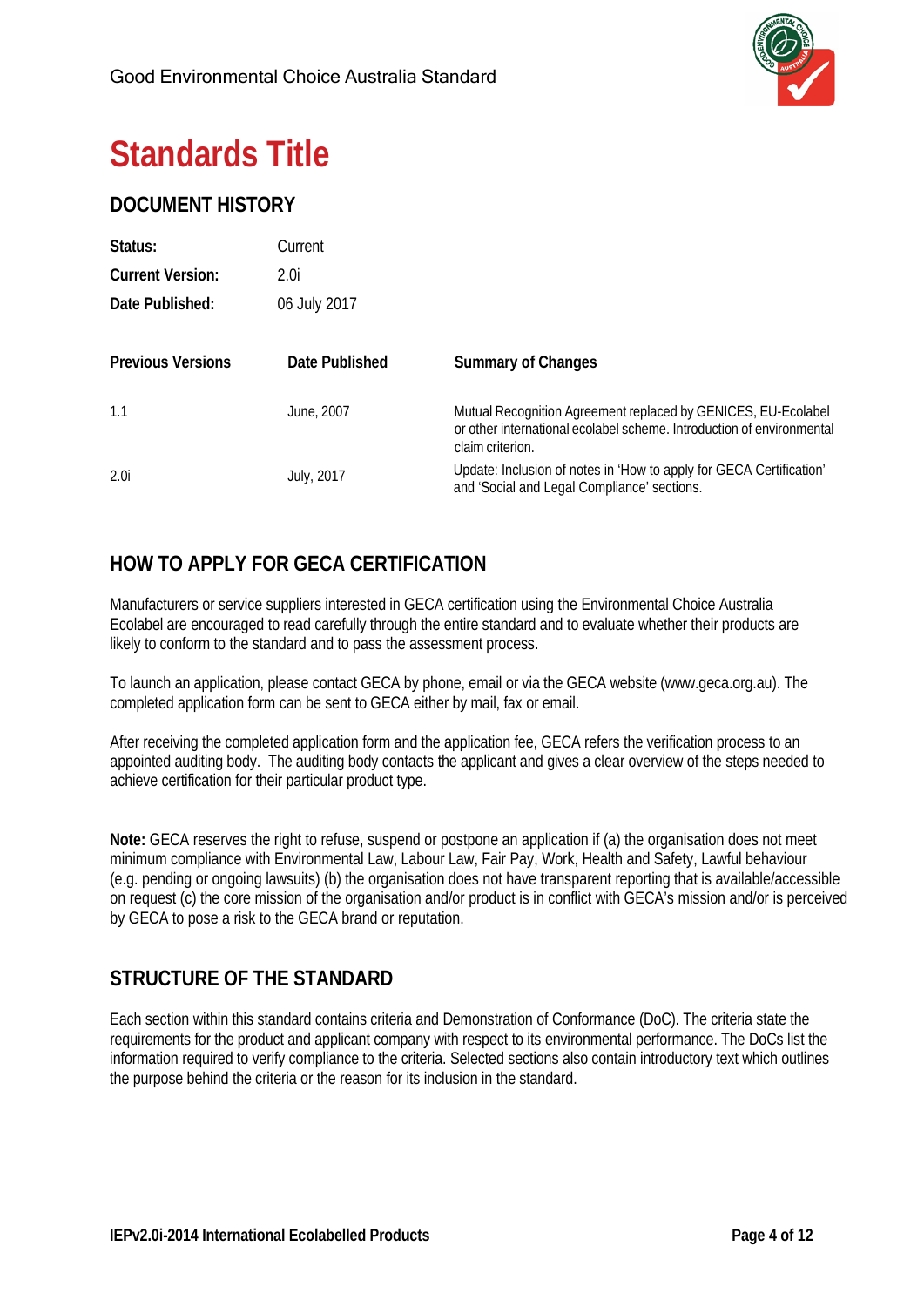

## **Standards Title**

## <span id="page-3-0"></span>**DOCUMENT HISTORY**

| Status:                  | Current        |                                                                                                                                                            |
|--------------------------|----------------|------------------------------------------------------------------------------------------------------------------------------------------------------------|
| <b>Current Version:</b>  | 2.0i           |                                                                                                                                                            |
| Date Published:          | 06 July 2017   |                                                                                                                                                            |
| <b>Previous Versions</b> | Date Published | <b>Summary of Changes</b>                                                                                                                                  |
| 1.1                      | June, 2007     | Mutual Recognition Agreement replaced by GENICES, EU-Ecolabel<br>or other international ecolabel scheme. Introduction of environmental<br>claim criterion. |
| 2.0 <sub>i</sub>         | July, 2017     | Update: Inclusion of notes in 'How to apply for GECA Certification'<br>and 'Social and Legal Compliance' sections.                                         |

## <span id="page-3-1"></span>**HOW TO APPLY FOR GECA CERTIFICATION**

Manufacturers or service suppliers interested in GECA certification using the Environmental Choice Australia Ecolabel are encouraged to read carefully through the entire standard and to evaluate whether their products are likely to conform to the standard and to pass the assessment process.

To launch an application, please contact GECA by phone, email or via the GECA website [\(www.geca.org.au\)](http://www.geca.org.au/). The completed application form can be sent to GECA either by mail, fax or email.

After receiving the completed application form and the application fee, GECA refers the verification process to an appointed auditing body. The auditing body contacts the applicant and gives a clear overview of the steps needed to achieve certification for their particular product type.

**Note:** GECA reserves the right to refuse, suspend or postpone an application if (a) the organisation does not meet minimum compliance with Environmental Law, Labour Law, Fair Pay, Work, Health and Safety, Lawful behaviour (e.g. pending or ongoing lawsuits) (b) the organisation does not have transparent reporting that is available/accessible on request (c) the core mission of the organisation and/or product is in conflict with GECA's mission and/or is perceived by GECA to pose a risk to the GECA brand or reputation.

## <span id="page-3-2"></span>**STRUCTURE OF THE STANDARD**

<span id="page-3-3"></span>Each section within this standard contains criteria and Demonstration of Conformance (DoC). The criteria state the requirements for the product and applicant company with respect to its environmental performance. The DoCs list the information required to verify compliance to the criteria. Selected sections also contain introductory text which outlines the purpose behind the criteria or the reason for its inclusion in the standard.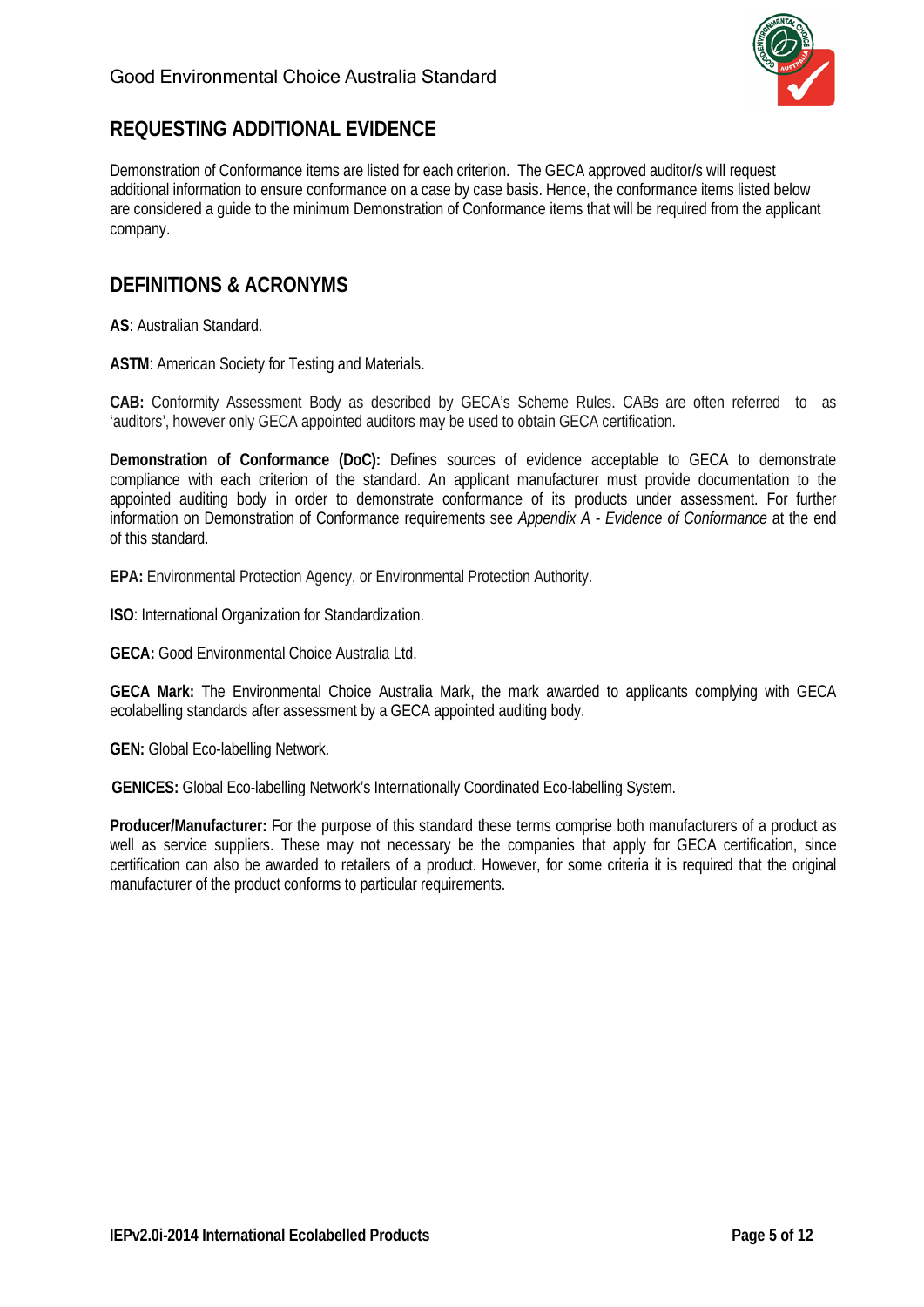

## **REQUESTING ADDITIONAL EVIDENCE**

Demonstration of Conformance items are listed for each criterion. The GECA approved auditor/s will request additional information to ensure conformance on a case by case basis. Hence, the conformance items listed below are considered a guide to the minimum Demonstration of Conformance items that will be required from the applicant company.

## <span id="page-4-0"></span>**DEFINITIONS & ACRONYMS**

**AS**: Australian Standard.

**ASTM**: American Society for Testing and Materials.

**CAB:** Conformity Assessment Body as described by GECA's Scheme Rules. CABs are often referred to as 'auditors', however only GECA appointed auditors may be used to obtain GECA certification.

**Demonstration of Conformance (DoC):** Defines sources of evidence acceptable to GECA to demonstrate compliance with each criterion of the standard. An applicant manufacturer must provide documentation to the appointed auditing body in order to demonstrate conformance of its products under assessment. For further information on Demonstration of Conformance requirements see *Appendix A - Evidence of Conformance* at the end of this standard.

**EPA:** Environmental Protection Agency, or Environmental Protection Authority.

**ISO**: International Organization for Standardization.

**GECA:** Good Environmental Choice Australia Ltd.

**GECA Mark:** The Environmental Choice Australia Mark, the mark awarded to applicants complying with GECA ecolabelling standards after assessment by a GECA appointed auditing body.

**GEN:** Global Eco-labelling Network.

**GENICES:** Global Eco-labelling Network's Internationally Coordinated Eco-labelling System.

**Producer/Manufacturer:** For the purpose of this standard these terms comprise both manufacturers of a product as well as service suppliers. These may not necessary be the companies that apply for GECA certification, since certification can also be awarded to retailers of a product. However, for some criteria it is required that the original manufacturer of the product conforms to particular requirements.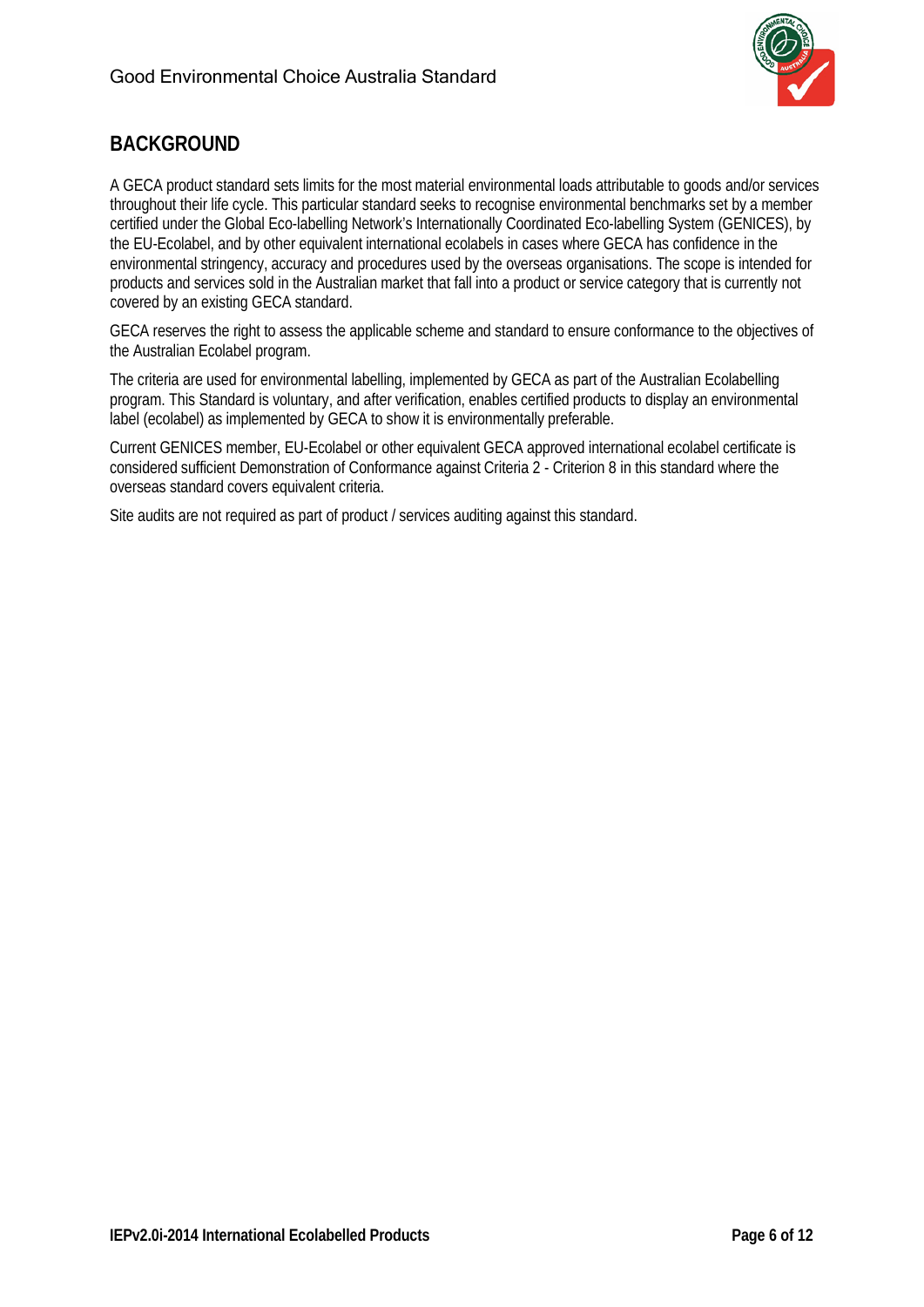

## <span id="page-5-0"></span>**BACKGROUND**

A GECA product standard sets limits for the most material environmental loads attributable to goods and/or services throughout their life cycle. This particular standard seeks to recognise environmental benchmarks set by a member certified under the Global Eco-labelling Network's Internationally Coordinated Eco-labelling System (GENICES), by the EU-Ecolabel, and by other equivalent international ecolabels in cases where GECA has confidence in the environmental stringency, accuracy and procedures used by the overseas organisations. The scope is intended for products and services sold in the Australian market that fall into a product or service category that is currently not covered by an existing GECA standard.

GECA reserves the right to assess the applicable scheme and standard to ensure conformance to the objectives of the Australian Ecolabel program.

The criteria are used for environmental labelling, implemented by GECA as part of the Australian Ecolabelling program. This Standard is voluntary, and after verification, enables certified products to display an environmental label (ecolabel) as implemented by GECA to show it is environmentally preferable.

Current GENICES member, EU-Ecolabel or other equivalent GECA approved international ecolabel certificate is considered sufficient Demonstration of Conformance against Criteria 2 - Criterion 8 in this standard where the overseas standard covers equivalent criteria.

Site audits are not required as part of product / services auditing against this standard.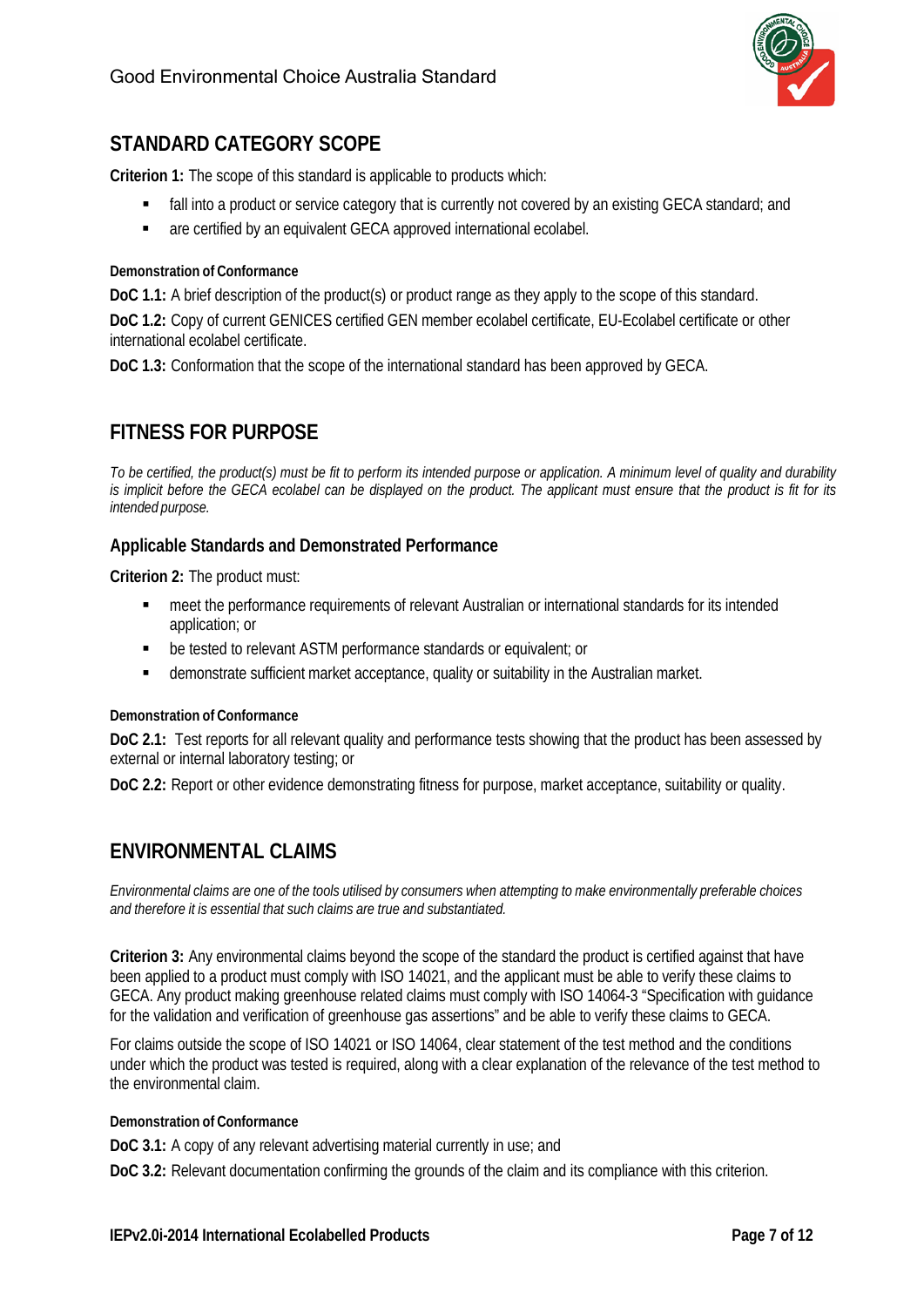

## <span id="page-6-0"></span>**STANDARD CATEGORY SCOPE**

**Criterion 1:** The scope of this standard is applicable to products which:

- **Fall into a product or service category that is currently not covered by an existing GECA standard; and**
- **a** are certified by an equivalent GECA approved international ecolabel.

#### **Demonstration of Conformance**

**DoC 1.1:** A brief description of the product(s) or product range as they apply to the scope of this standard.

**DoC 1.2:** Copy of current GENICES certified GEN member ecolabel certificate, EU-Ecolabel certificate or other international ecolabel certificate.

**DoC 1.3:** Conformation that the scope of the international standard has been approved by GECA.

## <span id="page-6-1"></span>**FITNESS FOR PURPOSE**

*To be certified, the product(s) must be fit to perform its intended purpose or application. A minimum level of quality and durability* is implicit before the GECA ecolabel can be displayed on the product. The applicant must ensure that the product is fit for its *intended purpose.*

#### <span id="page-6-2"></span>**Applicable Standards and Demonstrated Performance**

**Criterion 2:** The product must:

- meet the performance requirements of relevant Australian or international standards for its intended application; or
- be tested to relevant ASTM performance standards or equivalent; or
- demonstrate sufficient market acceptance, quality or suitability in the Australian market.

#### **Demonstration of Conformance**

**DoC 2.1:** Test reports for all relevant quality and performance tests showing that the product has been assessed by external or internal laboratory testing; or

**DoC 2.2:** Report or other evidence demonstrating fitness for purpose, market acceptance, suitability or quality.

### <span id="page-6-3"></span>**ENVIRONMENTAL CLAIMS**

Environmental claims are one of the tools utilised by consumers when attempting to make environmentally preferable choices *and therefore it is essential that such claims are true and substantiated.*

**Criterion 3:** Any environmental claims beyond the scope of the standard the product is certified against that have been applied to a product must comply with ISO 14021, and the applicant must be able to verify these claims to GECA. Any product making greenhouse related claims must comply with ISO 14064-3 "Specification with guidance for the validation and verification of greenhouse gas assertions" and be able to verify these claims to GECA.

For claims outside the scope of ISO 14021 or ISO 14064, clear statement of the test method and the conditions under which the product was tested is required, along with a clear explanation of the relevance of the test method to the environmental claim.

#### **Demonstration of Conformance**

**DoC 3.1:** A copy of any relevant advertising material currently in use; and

**DoC 3.2:** Relevant documentation confirming the grounds of the claim and its compliance with this criterion.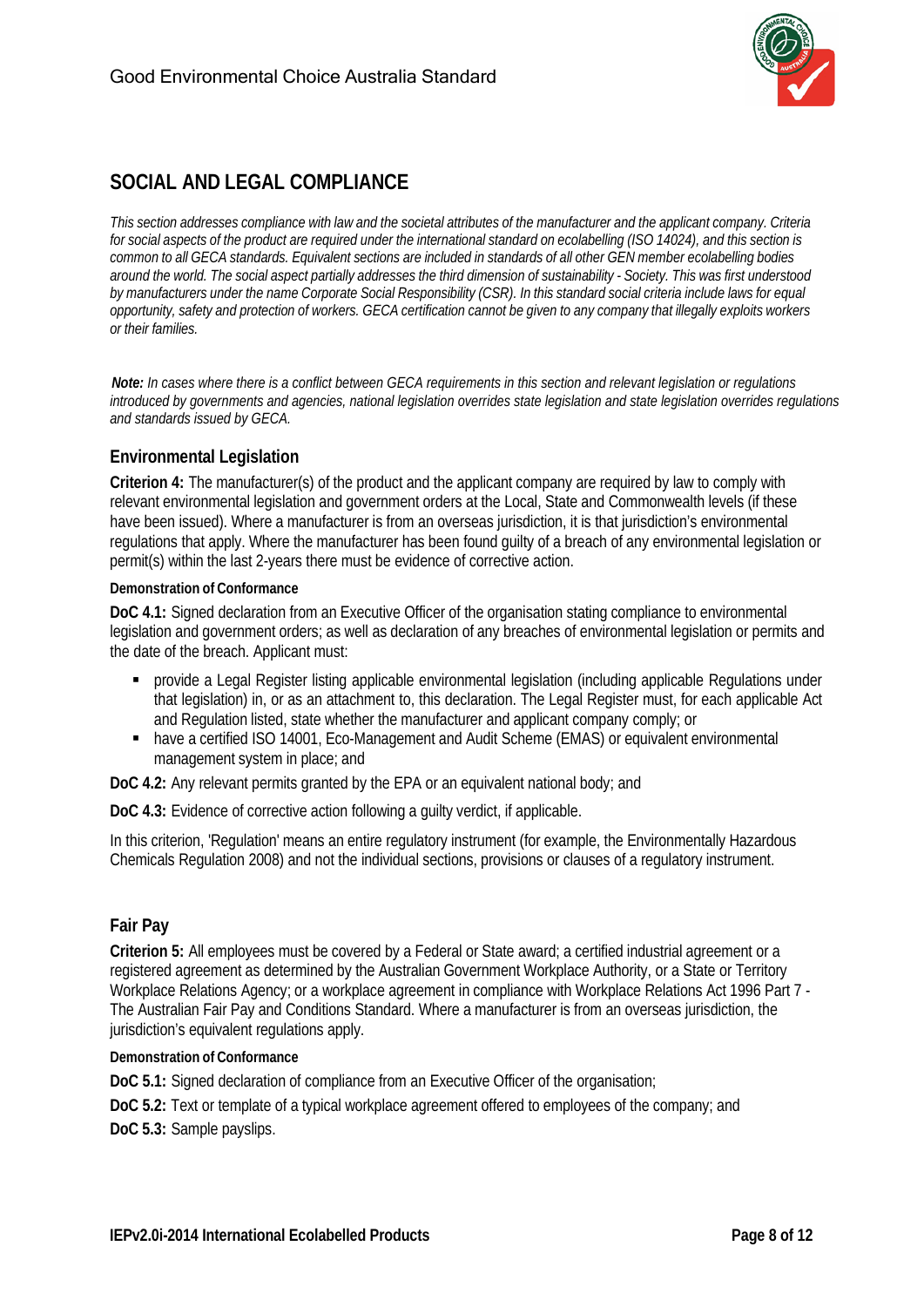

## <span id="page-7-0"></span>**SOCIAL AND LEGAL COMPLIANCE**

This section addresses compliance with law and the societal attributes of the manufacturer and the applicant company. Criteria for social aspects of the product are required under the international standard on ecolabelling (ISO 14024), and this section is common to all GECA standards. Equivalent sections are included in standards of all other GEN member ecolabelling bodies around the world. The social aspect partially addresses the third dimension of sustainability - Society. This was first understood by manufacturers under the name Corporate Social Responsibility (CSR). In this standard social criteria include laws for equal opportunity, safety and protection of workers. GECA certification cannot be given to any company that illegally exploits workers *or their families.*

*Note: In cases where there is a conflict between GECA requirements in this section and relevant legislation or regulations introduced by governments and agencies, national legislation overrides state legislation and state legislation overrides regulations and standards issued by GECA.*

#### <span id="page-7-1"></span>**Environmental Legislation**

**Criterion 4:** The manufacturer(s) of the product and the applicant company are required by law to comply with relevant environmental legislation and government orders at the Local, State and Commonwealth levels (if these have been issued). Where a manufacturer is from an overseas jurisdiction, it is that jurisdiction's environmental regulations that apply. Where the manufacturer has been found guilty of a breach of any environmental legislation or permit(s) within the last 2-years there must be evidence of corrective action.

#### **Demonstration of Conformance**

**DoC 4.1:** Signed declaration from an Executive Officer of the organisation stating compliance to environmental legislation and government orders; as well as declaration of any breaches of environmental legislation or permits and the date of the breach. Applicant must:

- provide a Legal Register listing applicable environmental legislation (including applicable Regulations under that legislation) in, or as an attachment to, this declaration. The Legal Register must, for each applicable Act and Regulation listed, state whether the manufacturer and applicant company comply; or
- have a certified ISO 14001, Eco-Management and Audit Scheme (EMAS) or equivalent environmental management system in place; and

**DoC 4.2:** Any relevant permits granted by the EPA or an equivalent national body; and

**DoC 4.3:** Evidence of corrective action following a guilty verdict, if applicable.

In this criterion, 'Regulation' means an entire regulatory instrument (for example, the Environmentally Hazardous Chemicals Regulation 2008) and not the individual sections, provisions or clauses of a regulatory instrument.

#### <span id="page-7-2"></span>**Fair Pay**

**Criterion 5:** All employees must be covered by a Federal or State award; a certified industrial agreement or a registered agreement as determined by the Australian Government Workplace Authority, or a State or Territory Workplace Relations Agency; or a workplace agreement in compliance with Workplace Relations Act 1996 Part 7 - The Australian Fair Pay and Conditions Standard. Where a manufacturer is from an overseas jurisdiction, the jurisdiction's equivalent regulations apply.

#### **Demonstration of Conformance**

**DoC 5.1:** Signed declaration of compliance from an Executive Officer of the organisation;

**DoC 5.2:** Text or template of a typical workplace agreement offered to employees of the company; and

**DoC 5.3:** Sample payslips.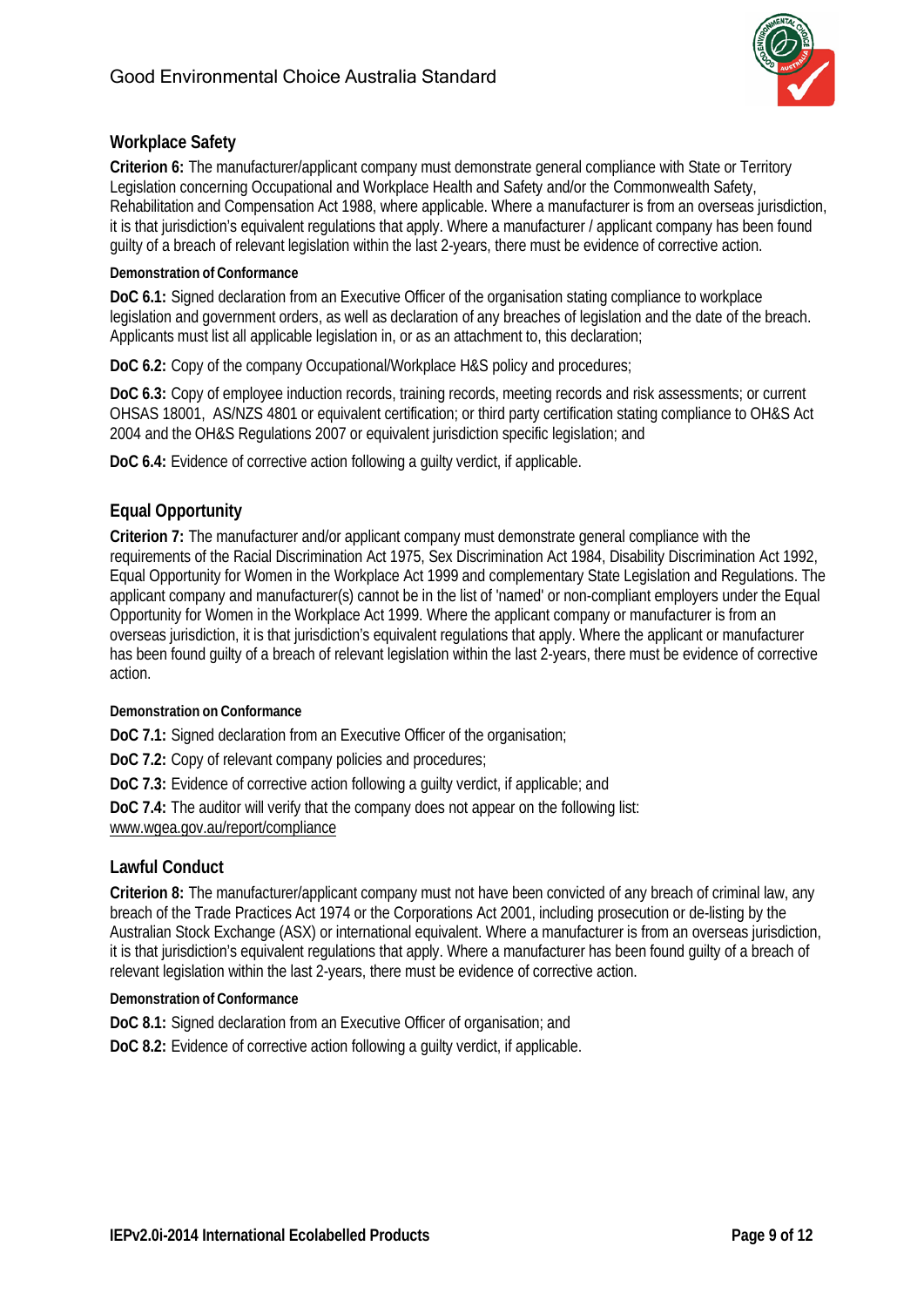

#### <span id="page-8-0"></span>**Workplace Safety**

**Criterion 6:** The manufacturer/applicant company must demonstrate general compliance with State or Territory Legislation concerning Occupational and Workplace Health and Safety and/or the Commonwealth Safety, Rehabilitation and Compensation Act 1988, where applicable. Where a manufacturer is from an overseas jurisdiction, it is that jurisdiction's equivalent regulations that apply. Where a manufacturer / applicant company has been found guilty of a breach of relevant legislation within the last 2-years, there must be evidence of corrective action.

#### **Demonstration of Conformance**

**DoC 6.1:** Signed declaration from an Executive Officer of the organisation stating compliance to workplace legislation and government orders, as well as declaration of any breaches of legislation and the date of the breach. Applicants must list all applicable legislation in, or as an attachment to, this declaration;

**DoC 6.2:** Copy of the company Occupational/Workplace H&S policy and procedures;

**DoC 6.3:** Copy of employee induction records, training records, meeting records and risk assessments; or current OHSAS 18001, AS/NZS 4801 or equivalent certification; or third party certification stating compliance to OH&S Act 2004 and the OH&S Regulations 2007 or equivalent jurisdiction specific legislation; and

**DoC 6.4:** Evidence of corrective action following a guilty verdict, if applicable.

#### <span id="page-8-1"></span>**Equal Opportunity**

**Criterion 7:** The manufacturer and/or applicant company must demonstrate general compliance with the requirements of the Racial Discrimination Act 1975, Sex Discrimination Act 1984, Disability Discrimination Act 1992, Equal Opportunity for Women in the Workplace Act 1999 and complementary State Legislation and Regulations. The applicant company and manufacturer(s) cannot be in the list of 'named' or non-compliant employers under the Equal Opportunity for Women in the Workplace Act 1999. Where the applicant company or manufacturer is from an overseas jurisdiction, it is that jurisdiction's equivalent regulations that apply. Where the applicant or manufacturer has been found guilty of a breach of relevant legislation within the last 2-years, there must be evidence of corrective action.

#### **Demonstration on Conformance**

**DoC 7.1:** Signed declaration from an Executive Officer of the organisation;

**DoC 7.2:** Copy of relevant company policies and procedures;

**DoC 7.3:** Evidence of corrective action following a guilty verdict, if applicable; and

**DoC 7.4:** The auditor will verify that the company does not appear on the following list:

[www.wgea.gov.au/report/compliance](http://www.wgea.gov.au/report/compliance)

#### <span id="page-8-2"></span>**Lawful Conduct**

**Criterion 8:** The manufacturer/applicant company must not have been convicted of any breach of criminal law, any breach of the Trade Practices Act 1974 or the Corporations Act 2001, including prosecution or de-listing by the Australian Stock Exchange (ASX) or international equivalent. Where a manufacturer is from an overseas jurisdiction, it is that jurisdiction's equivalent regulations that apply. Where a manufacturer has been found guilty of a breach of relevant legislation within the last 2-years, there must be evidence of corrective action.

#### **Demonstration of Conformance**

**DoC 8.1:** Signed declaration from an Executive Officer of organisation; and **DoC 8.2:** Evidence of corrective action following a guilty verdict, if applicable.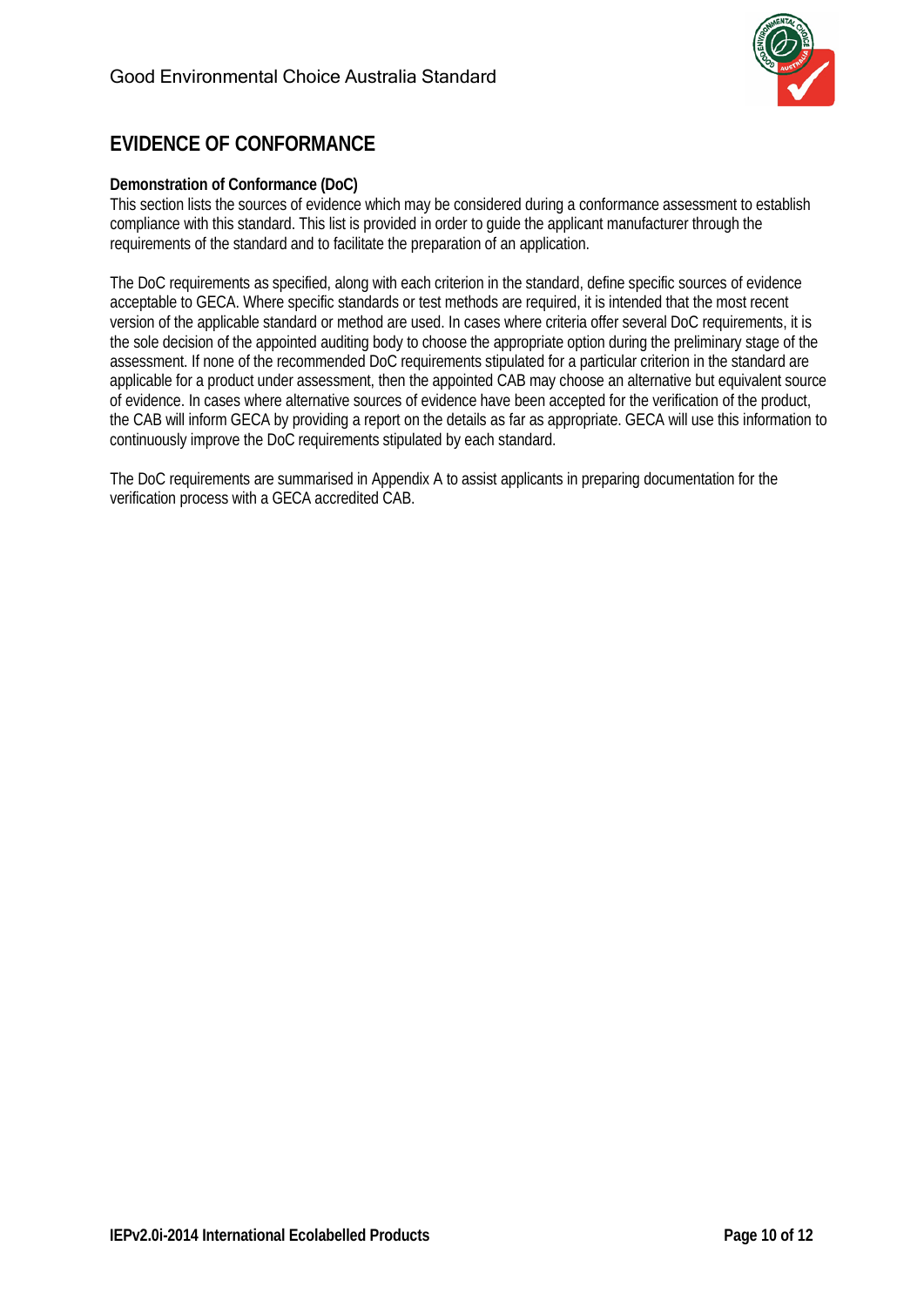

## <span id="page-9-0"></span>**EVIDENCE OF CONFORMANCE**

#### **Demonstration of Conformance (DoC)**

This section lists the sources of evidence which may be considered during a conformance assessment to establish compliance with this standard. This list is provided in order to guide the applicant manufacturer through the requirements of the standard and to facilitate the preparation of an application.

The DoC requirements as specified, along with each criterion in the standard, define specific sources of evidence acceptable to GECA. Where specific standards or test methods are required, it is intended that the most recent version of the applicable standard or method are used. In cases where criteria offer several DoC requirements, it is the sole decision of the appointed auditing body to choose the appropriate option during the preliminary stage of the assessment. If none of the recommended DoC requirements stipulated for a particular criterion in the standard are applicable for a product under assessment, then the appointed CAB may choose an alternative but equivalent source of evidence. In cases where alternative sources of evidence have been accepted for the verification of the product, the CAB will inform GECA by providing a report on the details as far as appropriate. GECA will use this information to continuously improve the DoC requirements stipulated by each standard.

The DoC requirements are summarised in Appendix A to assist applicants in preparing documentation for the verification process with a GECA accredited CAB.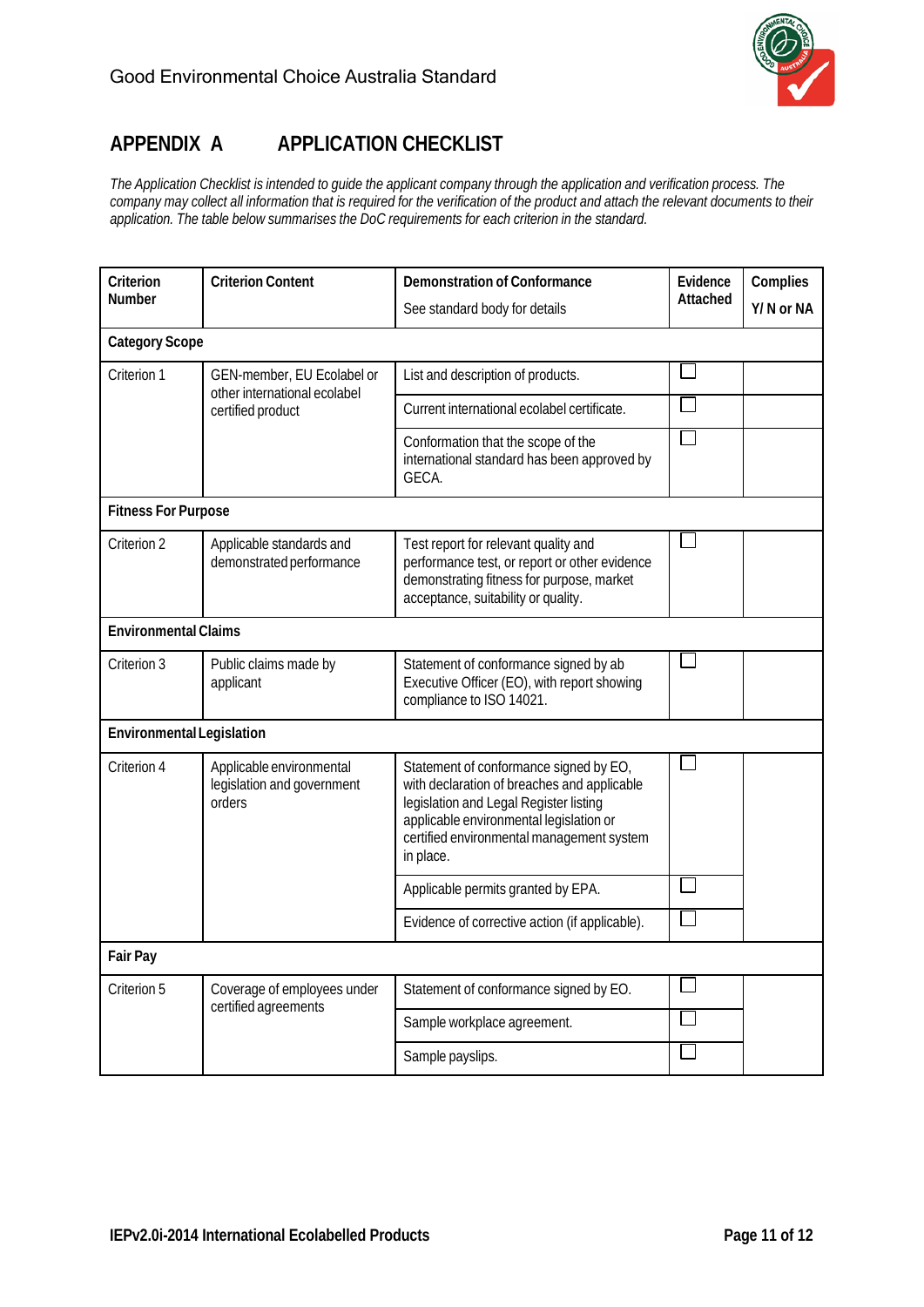

## <span id="page-10-0"></span>**APPENDIX A APPLICATION CHECKLIST**

The Application Checklist is intended to guide the applicant company through the application and verification process. The company may collect all information that is required for the verification of the product and attach the relevant documents to their *application. The table below summarises the DoC requirements for each criterion in the standard.*

| Criterion<br>Number                                                                            | <b>Criterion Content</b>                                                                   | <b>Demonstration of Conformance</b>                                                                                                                                                                                                  | Evidence<br>Attached | Complies<br>Y/N or NA |
|------------------------------------------------------------------------------------------------|--------------------------------------------------------------------------------------------|--------------------------------------------------------------------------------------------------------------------------------------------------------------------------------------------------------------------------------------|----------------------|-----------------------|
|                                                                                                |                                                                                            | See standard body for details                                                                                                                                                                                                        |                      |                       |
| <b>Category Scope</b>                                                                          |                                                                                            |                                                                                                                                                                                                                                      |                      |                       |
| Criterion 1<br>GEN-member, EU Ecolabel or<br>other international ecolabel<br>certified product | List and description of products.                                                          |                                                                                                                                                                                                                                      |                      |                       |
|                                                                                                |                                                                                            | Current international ecolabel certificate.                                                                                                                                                                                          |                      |                       |
|                                                                                                | Conformation that the scope of the<br>international standard has been approved by<br>GECA. |                                                                                                                                                                                                                                      |                      |                       |
| <b>Fitness For Purpose</b>                                                                     |                                                                                            |                                                                                                                                                                                                                                      |                      |                       |
| Criterion 2                                                                                    | Applicable standards and<br>demonstrated performance                                       | Test report for relevant quality and<br>performance test, or report or other evidence<br>demonstrating fitness for purpose, market<br>acceptance, suitability or quality.                                                            |                      |                       |
| <b>Environmental Claims</b>                                                                    |                                                                                            |                                                                                                                                                                                                                                      |                      |                       |
| Criterion 3                                                                                    | Public claims made by<br>applicant                                                         | Statement of conformance signed by ab<br>Executive Officer (EO), with report showing<br>compliance to ISO 14021.                                                                                                                     |                      |                       |
| <b>Environmental Legislation</b>                                                               |                                                                                            |                                                                                                                                                                                                                                      |                      |                       |
| Criterion 4                                                                                    | Applicable environmental<br>legislation and government<br>orders                           | Statement of conformance signed by EO,<br>with declaration of breaches and applicable<br>legislation and Legal Register listing<br>applicable environmental legislation or<br>certified environmental management system<br>in place. |                      |                       |
|                                                                                                |                                                                                            | Applicable permits granted by EPA.                                                                                                                                                                                                   |                      |                       |
|                                                                                                | Evidence of corrective action (if applicable).                                             |                                                                                                                                                                                                                                      |                      |                       |
| <b>Fair Pay</b>                                                                                |                                                                                            |                                                                                                                                                                                                                                      |                      |                       |
| Criterion 5                                                                                    | Coverage of employees under<br>certified agreements                                        | Statement of conformance signed by EO.                                                                                                                                                                                               |                      |                       |
|                                                                                                |                                                                                            | Sample workplace agreement.                                                                                                                                                                                                          |                      |                       |
|                                                                                                |                                                                                            | Sample payslips.                                                                                                                                                                                                                     |                      |                       |